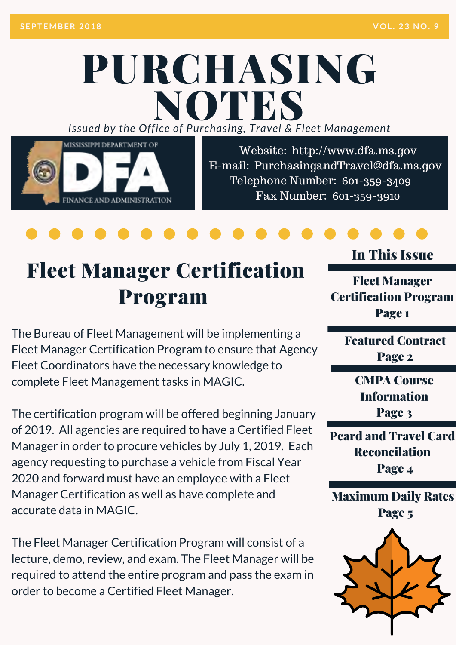## PURCHASING *Issued by the Office of Purchasing, Travel & Fleet Management* **NOTES**



Website: http://www.dfa.ms.gov [E-mail: PurchasingandTravel@dfa.ms.gov](http://www.dfa.ms.gov/)  Telephone Number: 601-359-3409 Fax Number: 601-359-3910

### Fleet Manager Certification Program

The Bureau of Fleet Management will be implementing a Fleet Manager Certification Program to ensure that Agency Fleet Coordinators have the necessary knowledge to complete Fleet Management tasks in MAGIC.

The certification program will be offered beginning January of 2019. All agencies are required to have a Certified Fleet Manager in order to procure vehicles by July 1, 2019. Each agency requesting to purchase a vehicle from Fiscal Year 2020 and forward must have an employee with a Fleet Manager Certification as well as have complete and accurate data in MAGIC.

The Fleet Manager Certification Program will consist of a lecture, demo, review, and exam. The Fleet Manager will be required to attend the entire program and pass the exam in order to become a Certified Fleet Manager.

#### In This Issue

Fleet Manager Certification Program Page 1

> Featured Contract Page 2

> > CMPA Course Information Page 3

Pcard and Travel Card Reconcilation Page 4

Maximum Daily Rates Page 5

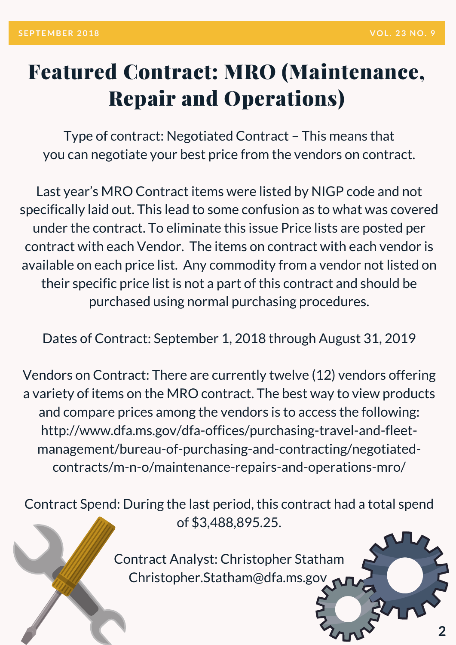#### Featured Contract: MRO (Maintenance, Repair and Operations)

Type of contract: Negotiated Contract – This means that you can negotiate your best price from the vendors on contract.

Last year's MRO Contract items were listed by NIGP code and not [specifically laid out. This lead to some confusion as to what was covered](http://www.dfa.ms.gov/dfa-offices/purchasing-travel-and-fleet-management/bureau-of-purchasing-and-contracting/negotiated-contracts/m-n-o/maintenance-repairs-and-operations-mro/) under the contract. To eliminate this issue Price lists are posted per contract with each Vendor. The items on contract with each vendor is available on each price list. Any commodity from a vendor not listed on their specific price list is not a part of this contract and should be purchased using normal purchasing procedures.

Dates of Contract: September 1, 2018 through August 31, 2019

Vendors on Contract: There are currently twelve (12) vendors offering a variety of items on the MRO contract. The best way to view products and compare prices among the vendors is to access the following: http://www.dfa.ms.gov/dfa-offices/purchasing-travel-and-fleetmanagement/bureau-of-purchasing-and-contracting/negotiatedcontracts/m-n-o/maintenance-repairs-and-operations-mro/

Contract Spend: During the last period, this contract had a total spend of \$3,488,895.25.

> Contract Analyst: Christopher Statham Christopher.Statham@dfa.ms.gov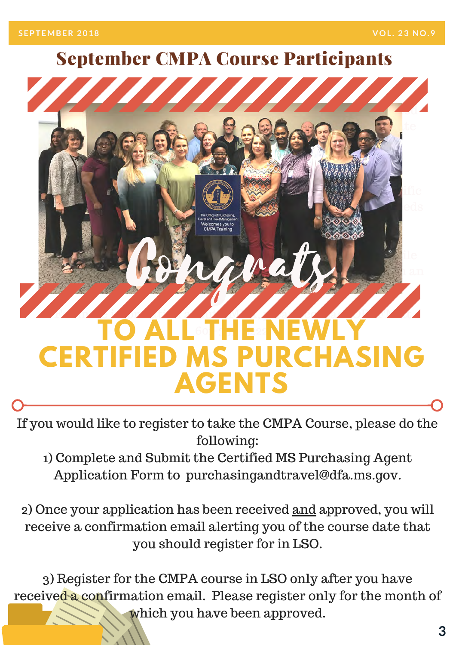#### September CMPA Course Participants



If you would like to register to take the CMPA Course, please do the following:

1) Complete and Submit the Certified MS Purchasing Agent Application Form to purchasingandtravel@dfa.ms.gov.

2) Once your application has been received and approved, you will receive a confirmation email alerting you of the course date that you should register for in LSO.

3) Register for the CMPA course in LSO only after you have received a confirmation email. Please register only for the month of which you have been approved.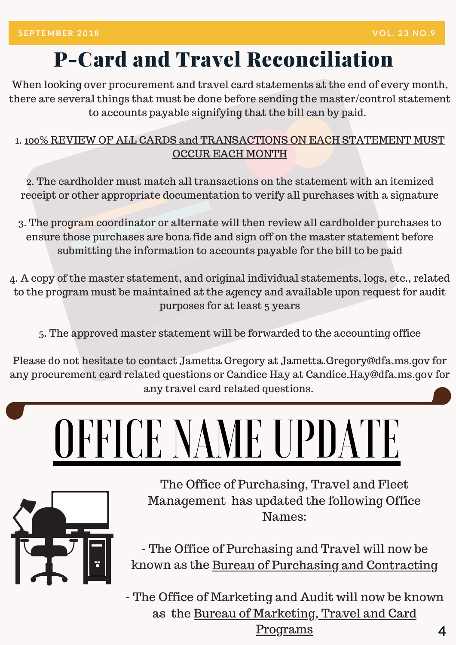#### P-Card and Travel Reconciliation

When looking over procurement and travel card statements at the end of every month, there are several things that must be done before sending the master/control statement to accounts payable signifying that the bill can by paid.

#### 1. 100% REVIEW OF ALL CARDS and TRANSACTIONS ON EACH STATEMENT MUST OCCUR EACH MONTH

2. The cardholder must match all transactions on the statement with an itemized receipt or other appropriate documentation to verify all purchases with a signature

3. The program coordinator or alternate will then review all cardholder purchases to ensure those purchases are bona fide and sign off on the master statement before submitting the information to accounts payable for the bill to be paid

4. A copy of the master statement, and original individual statements, logs, etc., related to the program must be maintained at the agency and available upon request for audit purposes for at least 5 years

5. The approved master statement will be forwarded to the accounting office

Please do not hesitate to contact Jametta Gregory at Jametta.Gregory@dfa.ms.gov for any procurement card related questions or Candice Hay at Candice.Hay@dfa.ms.gov for any travel card related questions.

# OFFICE NAME UPDATE



The Office of Purchasing, Travel and Fleet Management has updated the following Office Names:

- The Office of Purchasing and Travel will now be known as the Bureau of Purchasing and Contracting

[- The Office of Marketing and Audit will now be known](http://www.magppa.org/)  as the Bureau of Marketing, Travel and Card

Programs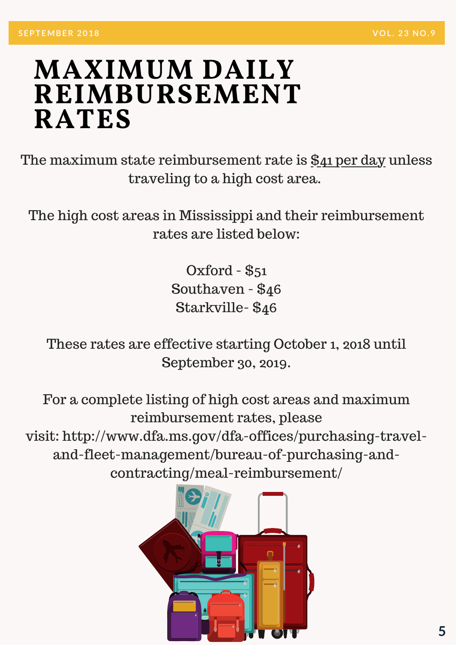## **MAXIMUM DAILY REIMBURSEMENT RATES**

The maximum state reimbursement rate is \$41 per day unless traveling to a high cost area.

The high cost areas in Mississippi and their reimbursement rates are listed below:

> Oxford - \$51 Southaven - \$46 Starkville- \$46

These rates are effective starting October 1, 2018 until September 30, 2019.

For a complete listing of high cost areas and maximum reimbursement rates, please [visit: http://www.dfa.ms.gov/dfa-offices/purchasing-travel](http://www.dfa.ms.gov/dfa-offices/purchasing-travel-and-fleet-management/bureau-of-purchasing-and-contracting/meal-reimbursement/)and-fleet-management/bureau-of-purchasing-andcontracting/meal-reimbursement/